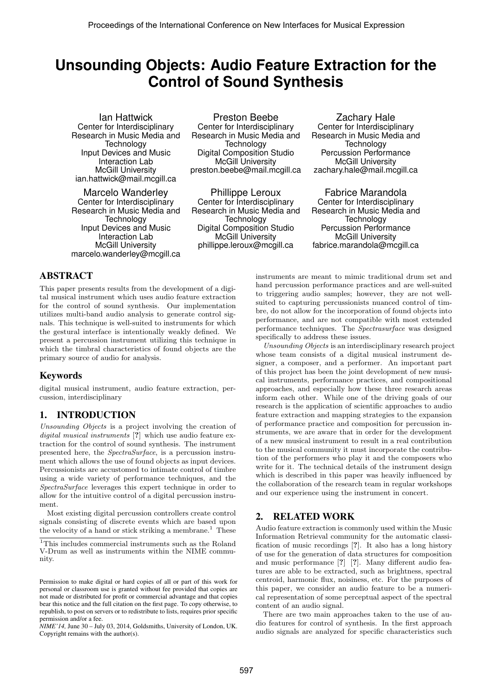# **Unsounding Objects: Audio Feature Extraction for the Control of Sound Synthesis**

Ian Hattwick Center for Interdisciplinary Research in Music Media and **Technology** Input Devices and Music Interaction Lab McGill University ian.hattwick@mail.mcgill.ca

Marcelo Wanderley Center for Interdisciplinary Research in Music Media and **Technology** Input Devices and Music Interaction Lab McGill University marcelo.wanderley@mcgill.ca

Preston Beebe Center for Interdisciplinary Research in Music Media and **Technology** Digital Composition Studio McGill University preston.beebe@mail.mcgill.ca

Phillippe Leroux Center for Interdisciplinary Research in Music Media and **Technology** Digital Composition Studio McGill University phillippe.leroux@mcgill.ca

Zachary Hale Center for Interdisciplinary Research in Music Media and **Technology** Percussion Performance McGill University zachary.hale@mail.mcgill.ca

Fabrice Marandola Center for Interdisciplinary Research in Music Media and **Technology** Percussion Performance McGill University fabrice.marandola@mcgill.ca

# ABSTRACT

This paper presents results from the development of a digital musical instrument which uses audio feature extraction for the control of sound synthesis. Our implementation utilizes multi-band audio analysis to generate control signals. This technique is well-suited to instruments for which the gestural interface is intentionally weakly defined. We present a percussion instrument utilizing this technique in which the timbral characteristics of found objects are the primary source of audio for analysis.

# Keywords

digital musical instrument, audio feature extraction, percussion, interdisciplinary

# 1. INTRODUCTION

Unsounding Objects is a project involving the creation of digital musical instruments [?] which use audio feature extraction for the control of sound synthesis. The instrument presented here, the SpectraSurface, is a percussion instrument which allows the use of found objects as input devices. Percussionists are accustomed to intimate control of timbre using a wide variety of performance techniques, and the SpectraSurface leverages this expert technique in order to allow for the intuitive control of a digital percussion instrument.

Most existing digital percussion controllers create control signals consisting of discrete events which are based upon the velocity of a hand or stick striking a membrane.<sup>1</sup> These instruments are meant to mimic traditional drum set and hand percussion performance practices and are well-suited to triggering audio samples; however, they are not wellsuited to capturing percussionists nuanced control of timbre, do not allow for the incorporation of found objects into performance, and are not compatible with most extended performance techniques. The Spectrasurface was designed specifically to address these issues.

Unsounding Objects is an interdisciplinary research project whose team consists of a digital musical instrument designer, a composer, and a performer. An important part of this project has been the joint development of new musical instruments, performance practices, and compositional approaches, and especially how these three research areas inform each other. While one of the driving goals of our research is the application of scientific approaches to audio feature extraction and mapping strategies to the expansion of performance practice and composition for percussion instruments, we are aware that in order for the development of a new musical instrument to result in a real contribution to the musical community it must incorporate the contribution of the performers who play it and the composers who write for it. The technical details of the instrument design which is described in this paper was heavily influenced by the collaboration of the research team in regular workshops and our experience using the instrument in concert.

# 2. RELATED WORK

Audio feature extraction is commonly used within the Music Information Retrieval community for the automatic classification of music recordings [?]. It also has a long history of use for the generation of data structures for composition and music performance [?] [?]. Many different audio features are able to be extracted, such as brightness, spectral centroid, harmonic flux, noisiness, etc. For the purposes of this paper, we consider an audio feature to be a numerical representation of some perceptual aspect of the spectral content of an audio signal.

There are two main approaches taken to the use of audio features for control of synthesis. In the first approach audio signals are analyzed for specific characteristics such

<sup>&</sup>lt;sup>1</sup>This includes commercial instruments such as the Roland V-Drum as well as instruments within the NIME community.

Permission to make digital or hard copies of all or part of this work for personal or classroom use is granted without fee provided that copies are not made or distributed for profit or commercial advantage and that copies bear this notice and the full citation on the first page. To copy otherwise, to republish, to post on servers or to redistribute to lists, requires prior specific permission and/or a fee.

*NIME'14,* June 30 – July 03, 2014, Goldsmiths, University of London, UK. Copyright remains with the author(s).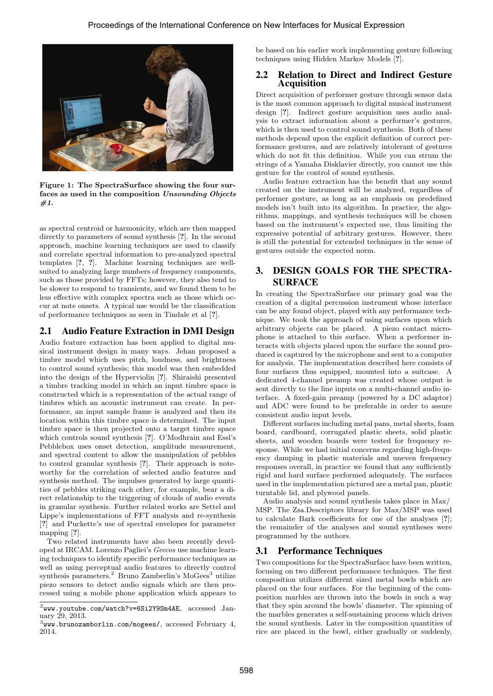

Figure 1: The SpectraSurface showing the four surfaces as used in the composition Unsounding Objects  $#1.$ 

as spectral centroid or harmonicity, which are then mapped directly to parameters of sound synthesis [?]. In the second approach, machine learning techniques are used to classify and correlate spectral information to pre-analyzed spectral templates [?, ?]. Machine learning techniques are wellsuited to analyzing large numbers of frequency components, such as those provided by FFTs; however, they also tend to be slower to respond to transients, and we found them to be less effective with complex spectra such as those which occur at note onsets. A typical use would be the classification of performance techniques as seen in Tindale et al [?].

# 2.1 Audio Feature Extraction in DMI Design

Audio feature extraction has been applied to digital musical instrument design in many ways. Jehan proposed a timbre model which uses pitch, loudness, and brightness to control sound synthesis; this model was then embedded into the design of the Hyperviolin [?]. Shiraishi presented a timbre tracking model in which an input timbre space is constructed which is a representation of the actual range of timbres which an acoustic instrument can create. In performance, an input sample frame is analyzed and then its location within this timbre space is determined. The input timbre space is then projected onto a target timbre space which controls sound synthesis [?]. O'Modhrain and Essl's Pebblebox uses onset detection, amplitude measurement, and spectral content to allow the manipulation of pebbles to control granular synthesis [?]. Their approach is noteworthy for the correlation of selected audio features and synthesis method. The impulses generated by large quantities of pebbles striking each other, for example, bear a direct relationship to the triggering of clouds of audio events in granular synthesis. Further related works are Settel and Lippe's implementations of FFT analysis and re-synthesis [?] and Puckette's use of spectral envelopes for parameter mapping [?].

Two related instruments have also been recently developed at IRCAM. Lorenzo Pagliei's Geecos use machine learning techniques to identify specific performance techniques as well as using perceptual audio features to directly control synthesis parameters.<sup>2</sup> Bruno Zamberlin's MoGees<sup>3</sup> utilize piezo sensors to detect audio signals which are then processed using a mobile phone application which appears to

be based on his earlier work implementing gesture following techniques using Hidden Markov Models [?].

### 2.2 Relation to Direct and Indirect Gesture Acquisition

Direct acquisition of performer gesture through sensor data is the most common approach to digital musical instrument design [?]. Indirect gesture acquisition uses audio analysis to extract information about a performer's gestures, which is then used to control sound synthesis. Both of these methods depend upon the explicit definition of correct performance gestures, and are relatively intolerant of gestures which do not fit this definition. While you can strum the strings of a Yamaha Disklavier directly, you cannot use this gesture for the control of sound synthesis.

Audio feature extraction has the benefit that any sound created on the instrument will be analyzed, regardless of performer gesture, as long as an emphasis on predefined models isn't built into its algorithm. In practice, the algorithms, mappings, and synthesis techniques will be chosen based on the instrument's expected use, thus limiting the expressive potential of arbitrary gestures. However, there is still the potential for extended techniques in the sense of gestures outside the expected norm.

# 3. DESIGN GOALS FOR THE SPECTRA-SURFACE

In creating the SpectraSurface our primary goal was the creation of a digital percussion instrument whose interface can be any found object, played with any performance technique. We took the approach of using surfaces upon which arbitrary objects can be placed. A piezo contact microphone is attached to this surface. When a performer interacts with objects placed upon the surface the sound produced is captured by the microphone and sent to a computer for analysis. The implementation described here consists of four surfaces thus equipped, mounted into a suitcase. A dedicated 4-channel preamp was created whose output is sent directly to the line inputs on a multi-channel audio interface. A fixed-gain preamp (powered by a DC adaptor) and ADC were found to be preferable in order to assure consistent audio input levels.

Different surfaces including metal pans, metal sheets, foam board, cardboard, corrugated plastic sheets, solid plastic sheets, and wooden boards were tested for frequency response. While we had initial concerns regarding high-frequency damping in plastic materials and uneven frequency responses overall, in practice we found that any sufficiently rigid and hard surface performed adequately. The surfaces used in the implementation pictured are a metal pan, plastic turntable lid, and plywood panels.

Audio analysis and sound synthesis takes place in Max/ MSP. The Zsa.Descriptors library for Max/MSP was used to calculate Bark coefficients for one of the analyses [?]; the remainder of the analyses and sound syntheses were programmed by the authors.

## 3.1 Performance Techniques

Two compositions for the SpectraSurface have been written, focusing on two different performance techniques. The first composition utilizes different sized metal bowls which are placed on the four surfaces. For the beginning of the composition marbles are thrown into the bowls in such a way that they spin around the bowls' diameter. The spinning of the marbles generates a self-sustaining process which drives the sound synthesis. Later in the composition quantities of rice are placed in the bowl, either gradually or suddenly,

 $^{2}$ www.youtube.com/watch?v=6Si2Y9Sm4AE, accessed January 29, 2013.

 $^3$ www.brunozamborlin.com/mogees/,  $\arccos$ sed February 4, 2014.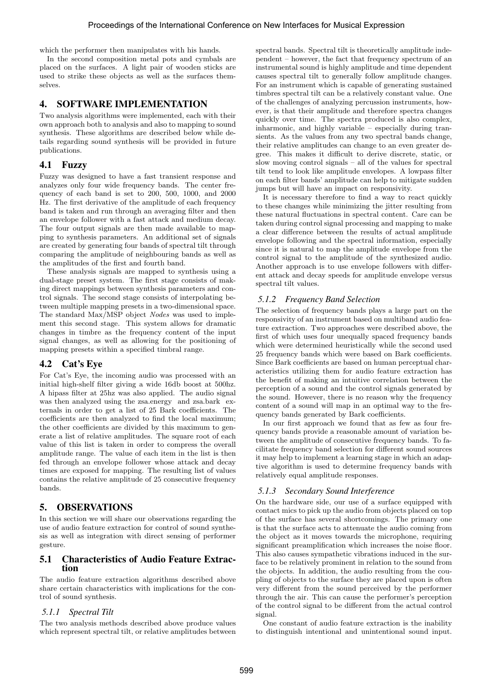which the performer then manipulates with his hands.

In the second composition metal pots and cymbals are placed on the surfaces. A light pair of wooden sticks are used to strike these objects as well as the surfaces themselves.

#### 4. SOFTWARE IMPLEMENTATION

Two analysis algorithms were implemented, each with their own approach both to analysis and also to mapping to sound synthesis. These algorithms are described below while details regarding sound synthesis will be provided in future publications.

#### 4.1 Fuzzy

Fuzzy was designed to have a fast transient response and analyzes only four wide frequency bands. The center frequency of each band is set to 200, 500, 1000, and 2000 Hz. The first derivative of the amplitude of each frequency band is taken and run through an averaging filter and then an envelope follower with a fast attack and medium decay. The four output signals are then made available to mapping to synthesis parameters. An additional set of signals are created by generating four bands of spectral tilt through comparing the amplitude of neighbouring bands as well as the amplitudes of the first and fourth band.

These analysis signals are mapped to synthesis using a dual-stage preset system. The first stage consists of making direct mappings between synthesis parameters and control signals. The second stage consists of interpolating between multiple mapping presets in a two-dimensional space. The standard Max/MSP object Nodes was used to implement this second stage. This system allows for dramatic changes in timbre as the frequency content of the input signal changes, as well as allowing for the positioning of mapping presets within a specified timbral range.

#### 4.2 Cat's Eye

For Cat's Eye, the incoming audio was processed with an initial high-shelf filter giving a wide 16db boost at 500hz. A hipass filter at 25hz was also applied. The audio signal was then analyzed using the zsa.energy and zsa.bark externals in order to get a list of 25 Bark coefficients. The coefficients are then analyzed to find the local maximum; the other coefficients are divided by this maximum to generate a list of relative amplitudes. The square root of each value of this list is taken in order to compress the overall amplitude range. The value of each item in the list is then fed through an envelope follower whose attack and decay times are exposed for mapping. The resulting list of values contains the relative amplitude of 25 consecutive frequency bands.

#### 5. OBSERVATIONS

In this section we will share our observations regarding the use of audio feature extraction for control of sound synthesis as well as integration with direct sensing of performer gesture.

#### 5.1 Characteristics of Audio Feature Extraction

The audio feature extraction algorithms described above share certain characteristics with implications for the control of sound synthesis.

#### *5.1.1 Spectral Tilt*

The two analysis methods described above produce values which represent spectral tilt, or relative amplitudes between spectral bands. Spectral tilt is theoretically amplitude independent – however, the fact that frequency spectrum of an instrumental sound is highly amplitude and time dependent causes spectral tilt to generally follow amplitude changes. For an instrument which is capable of generating sustained timbres spectral tilt can be a relatively constant value. One of the challenges of analyzing percussion instruments, however, is that their amplitude and therefore spectra changes quickly over time. The spectra produced is also complex, inharmonic, and highly variable – especially during transients. As the values from any two spectral bands change, their relative amplitudes can change to an even greater degree. This makes it difficult to derive discrete, static, or slow moving control signals – all of the values for spectral tilt tend to look like amplitude envelopes. A lowpass filter on each filter bands' amplitude can help to mitigate sudden jumps but will have an impact on responsivity.

It is necessary therefore to find a way to react quickly to these changes while minimizing the jitter resulting from these natural fluctuations in spectral content. Care can be taken during control signal processing and mapping to make a clear difference between the results of actual amplitude envelope following and the spectral information, especially since it is natural to map the amplitude envelope from the control signal to the amplitude of the synthesized audio. Another approach is to use envelope followers with different attack and decay speeds for amplitude envelope versus spectral tilt values.

#### *5.1.2 Frequency Band Selection*

The selection of frequency bands plays a large part on the responsivity of an instrument based on multiband audio feature extraction. Two approaches were described above, the first of which uses four unequally spaced frequency bands which were determined heuristically while the second used 25 frequency bands which were based on Bark coefficients. Since Bark coefficients are based on human perceptual characteristics utilizing them for audio feature extraction has the benefit of making an intuitive correlation between the perception of a sound and the control signals generated by the sound. However, there is no reason why the frequency content of a sound will map in an optimal way to the frequency bands generated by Bark coefficients.

In our first approach we found that as few as four frequency bands provide a reasonable amount of variation between the amplitude of consecutive frequency bands. To facilitate frequency band selection for different sound sources it may help to implement a learning stage in which an adaptive algorithm is used to determine frequency bands with relatively equal amplitude responses.

#### *5.1.3 Secondary Sound Interference*

On the hardware side, our use of a surface equipped with contact mics to pick up the audio from objects placed on top of the surface has several shortcomings. The primary one is that the surface acts to attenuate the audio coming from the object as it moves towards the microphone, requiring significant preamplification which increases the noise floor. This also causes sympathetic vibrations induced in the surface to be relatively prominent in relation to the sound from the objects. In addition, the audio resulting from the coupling of objects to the surface they are placed upon is often very different from the sound perceived by the performer through the air. This can cause the performer's perception of the control signal to be different from the actual control signal.

One constant of audio feature extraction is the inability to distinguish intentional and unintentional sound input.